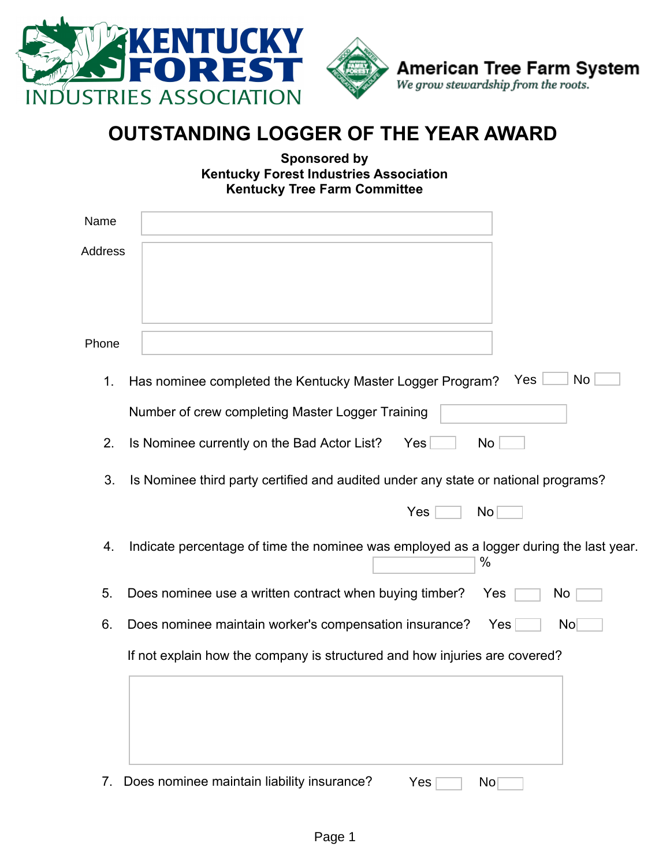

| Name    |                                                                                                              |
|---------|--------------------------------------------------------------------------------------------------------------|
| Address |                                                                                                              |
| Phone   |                                                                                                              |
| 1.      | No<br><b>Yes</b><br>Has nominee completed the Kentucky Master Logger Program?                                |
|         | Number of crew completing Master Logger Training                                                             |
| 2.      | Is Nominee currently on the Bad Actor List?<br>Yes<br>No                                                     |
| 3.      | Is Nominee third party certified and audited under any state or national programs?<br>Yes<br>No <sub>1</sub> |
| 4.      | Indicate percentage of time the nominee was employed as a logger during the last year.<br>$\%$               |
| 5.      | Does nominee use a written contract when buying timber?<br>Yes<br>No                                         |
| 6.      | Does nominee maintain worker's compensation insurance?<br>No <sub>1</sub><br>Yes                             |
|         | If not explain how the company is structured and how injuries are covered?                                   |

7. Does nominee maintain liability insurance? Yes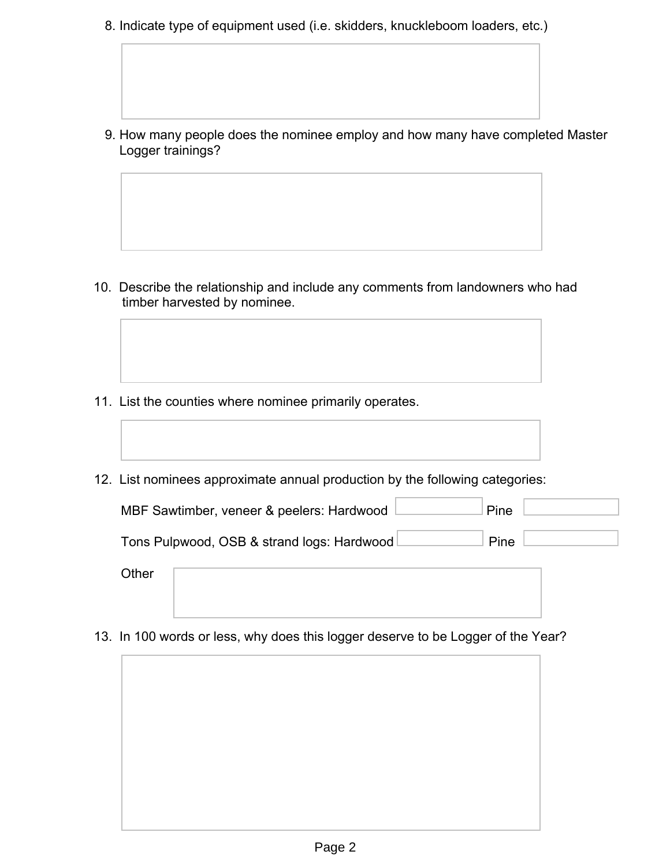8. Indicate type of equipment used (i.e. skidders, knuckleboom loaders, etc.)

 9. How many people does the nominee employ and how many have completed Master Logger trainings?

- 10. Describe the relationship and include any comments from landowners who had timber harvested by nominee.
- 11. List the counties where nominee primarily operates.
- 12. List nominees approximate annual production by the following categories:



**Other** 

13. In 100 words or less, why does this logger deserve to be Logger of the Year?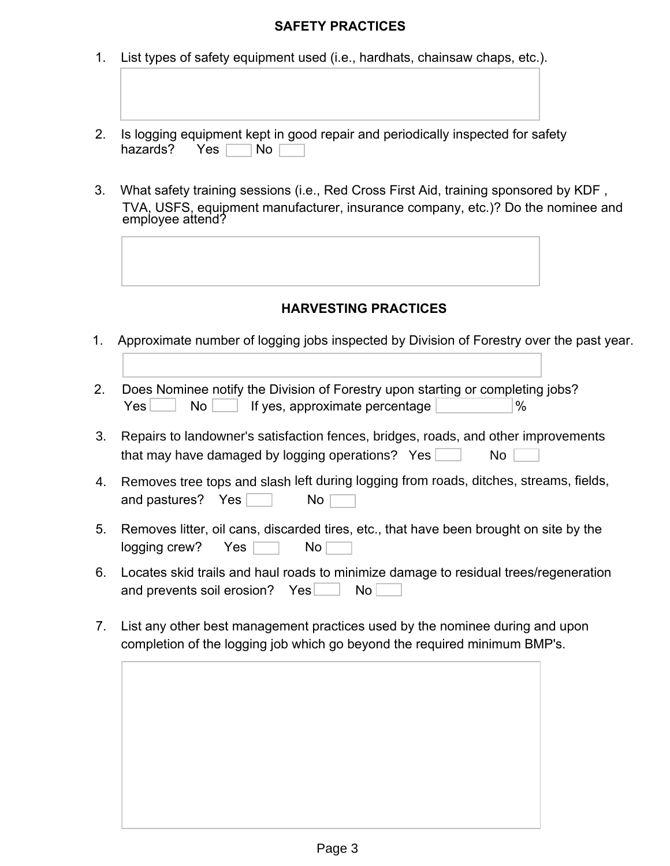## **SAFETY PRACTICES**

- 1. List types of safety equipment used (i.e., hardhats, chainsaw chaps, etc.).
- 2. Is logging equipment kept in good repair and periodically inspected for safety hazards? Yes  $\Box$  No  $\Box$
- 3. What safety training sessions (i.e., Red Cross First Aid, training sponsored by KDF , TVA, USFS, equipment manufacturer, insurance company, etc.)? Do the nominee and employee attend?



## **HARVESTING PRACTICES**

- 1. Approximate number of logging jobs inspected by Division of Forestry over the past year.
- 2. Does Nominee notify the Division of Forestry upon starting or completing jobs? Yes No If yes, approximate percentage  $\frac{1}{8}$
- that may have damaged by logging operations?  $Yes$   $\Box$  No 3. Repairs to landowner's satisfaction fences, bridges, roads, and other improvements
- 4. Removes tree tops and slash left during logging from roads, ditches, streams, fields, and pastures? Yes  $\Box$  No
- 5. Removes litter, oil cans, discarded tires, etc., that have been brought on site by the  $logging$  crew? Yes  $\Box$  No
- 6. Locates skid trails and haul roads to minimize damage to residual trees/regeneration and prevents soil erosion? Yes No
- 7. List any other best management practices used by the nominee during and upon completion of the logging job which go beyond the required minimum BMP's.